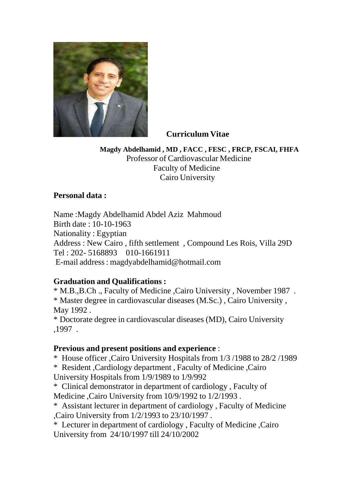

# **Curriculum Vitae**

**Magdy Abdelhamid , MD , FACC , FESC , FRCP, FSCAI, FHFA** Professor of Cardiovascular Medicine Faculty of Medicine Cairo University

# **Personal data :**

Name :Magdy Abdelhamid Abdel Aziz Mahmoud Birth date : 10-10-1963 Nationality : Egyptian Address : New Cairo , fifth settlement , Compound Les Rois, Villa 29D Tel : 202- 5168893 010-1661911 E-mail address: [magdyabdelhamid@hotmail.com](mailto:magdyabdelhamid@hotmail.com)

# **Graduation and Qualifications :**

\* M.B.,B.Ch ., Faculty of Medicine ,Cairo University , November 1987 . \* Master degree in cardiovascular diseases (M.Sc.) , Cairo University , May 1992 .

\* Doctorate degree in cardiovascular diseases (MD), Cairo University ,1997 .

### **Previous and present positions and experience** :

\* House officer ,Cairo University Hospitals from 1/3 /1988 to 28/2 /1989

\* Resident ,Cardiology department , Faculty of Medicine ,Cairo

University Hospitals from 1/9/1989 to 1/9/992

\* Clinical demonstrator in department of cardiology , Faculty of Medicine ,Cairo University from 10/9/1992 to 1/2/1993 .

\* Assistant lecturer in department of cardiology , Faculty of Medicine ,Cairo University from 1/2/1993 to 23/10/1997 .

\* Lecturer in department of cardiology , Faculty of Medicine ,Cairo University from 24/10/1997 till 24/10/2002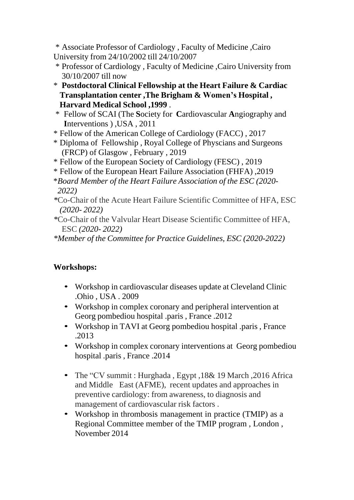\* Associate Professor of Cardiology , Faculty of Medicine ,Cairo University from 24/10/2002 till 24/10/2007

- \* Professor of Cardiology , Faculty of Medicine ,Cairo University from 30/10/2007 till now
- \* **Postdoctoral Clinical Fellowship at the Heart Failure & Cardiac Transplantation center ,The Brigham & Women's Hospital , Harvard Medical School ,1999** .
- \* Fellow of SCAI (The **S**ociety for **C**ardiovascular **A**ngiography and **I**nterventions ) ,USA , 2011
- \* Fellow of the American College of Cardiology (FACC) , 2017
- \* Diploma of Fellowship , Royal College of Physcians and Surgeons (FRCP) of Glasgow , February , 2019
- \* Fellow of the European Society of Cardiology (FESC) , 2019
- \* Fellow of the European Heart Failure Association (FHFA) ,2019
- \**Board Member of the Heart Failure Association of the ESC (2020- 2022)*
- *\**Co-Chair of the Acute Heart Failure Scientific Committee of HFA, ESC *(2020- 2022)*
- *\**Co-Chair of the Valvular Heart Disease Scientific Committee of HFA, ESC *(2020- 2022)*

*\*Member of the Committee for Practice Guidelines, ESC (2020-2022)*

# **Workshops:**

- Workshop in cardiovascular diseases update at Cleveland Clinic .Ohio , USA . 2009
- Workshop in complex coronary and peripheral intervention at Georg pombediou hospital .paris , France .2012
- Workshop in TAVI at Georg pombediou hospital .paris , France .2013
- Workshop in complex coronary interventions at Georg pombediou hospital .paris , France .2014
- The "CV summit : Hurghada, Egypt, 18& 19 March, 2016 Africa and Middle East (AFME), recent updates and approaches in preventive cardiology: from awareness, to diagnosis and management of cardiovascular risk factors .
- Workshop in thrombosis management in practice (TMIP) as a Regional Committee member of the TMIP program , London , November 2014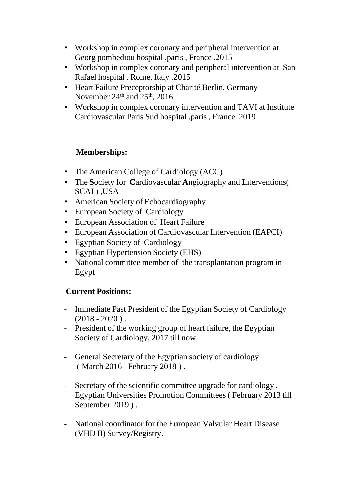- Workshop in complex coronary and peripheral intervention at Georg pombediou hospital .paris , France .2015
- Workshop in complex coronary and peripheral intervention at San Rafael hospital . Rome, Italy .2015
- Heart Failure Preceptorship at Charité Berlin, Germany November  $24^{\text{th}}$  and  $25^{\text{th}}$ ,  $2016$
- Workshop in complex coronary intervention and TAVI at Institute Cardiovascular Paris Sud hospital .paris , France .2019

# **Memberships:**

- The American College of Cardiology (ACC)
- The **S**ociety for **C**ardiovascular **A**ngiography and **I**nterventions( SCAI ) ,USA
- American Society of Echocardiography
- European Society of Cardiology
- European Association of Heart Failure
- European Association of Cardiovascular Intervention (EAPCI)
- Egyptian Society of Cardiology
- Egyptian Hypertension Society (EHS)
- National committee member of the transplantation program in Egypt

# **Current Positions:**

- Immediate Past President of the Egyptian Society of Cardiology  $(2018 - 2020)$ .
- President of the working group of heart failure, the Egyptian Society of Cardiology, 2017 till now.
- General Secretary of the Egyptian society of cardiology ( March 2016 –February 2018 ) .
- Secretary of the scientific committee upgrade for cardiology , Egyptian Universities Promotion Committees ( February 2013 till September 2019 ) .
- National coordinator for the European Valvular Heart Disease (VHD II) Survey/Registry.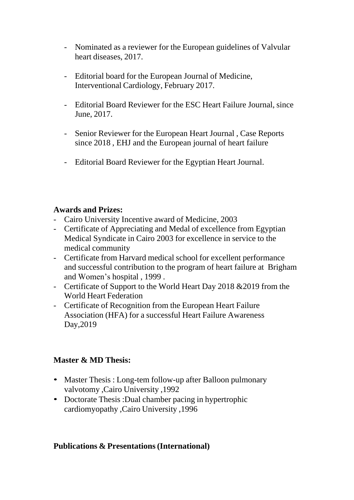- Nominated as a reviewer for the European guidelines of Valvular heart diseases, 2017.
- Editorial board for the European Journal of Medicine, Interventional Cardiology, February 2017.
- Editorial Board Reviewer for the ESC Heart Failure Journal, since June, 2017.
- Senior Reviewer for the European Heart Journal , Case Reports since 2018 , EHJ and the European journal of heart failure
- Editorial Board Reviewer for the Egyptian Heart Journal.

# **Awards and Prizes:**

- Cairo University Incentive award of Medicine, 2003
- Certificate of Appreciating and Medal of excellence from Egyptian Medical Syndicate in Cairo 2003 for excellence in service to the medical community
- Certificate from Harvard medical school for excellent performance and successful contribution to the program of heart failure at Brigham and Women's hospital , 1999 .
- Certificate of Support to the World Heart Day 2018 & 2019 from the World Heart Federation
- Certificate of Recognition from the European Heart Failure Association (HFA) for a successful Heart Failure Awareness Day,2019

# **Master & MD Thesis:**

- Master Thesis : Long-tem follow-up after Balloon pulmonary valvotomy ,Cairo University ,1992
- Doctorate Thesis : Dual chamber pacing in hypertrophic cardiomyopathy ,Cairo University ,1996

# **Publications & Presentations(International)**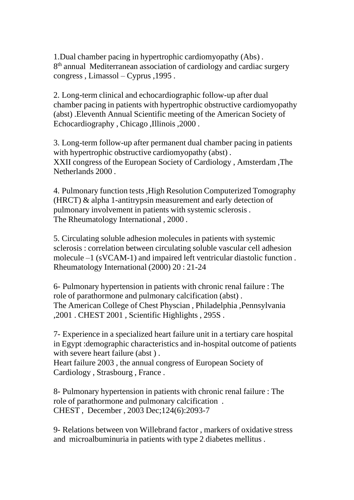1.Dual chamber pacing in hypertrophic cardiomyopathy (Abs) . 8<sup>th</sup> annual Mediterranean association of cardiology and cardiac surgery congress , Limassol – Cyprus ,1995 .

2. Long-term clinical and echocardiographic follow-up after dual chamber pacing in patients with hypertrophic obstructive cardiomyopathy (abst) .Eleventh Annual Scientific meeting of the American Society of Echocardiography , Chicago ,Illinois ,2000 .

3. Long-term follow-up after permanent dual chamber pacing in patients with hypertrophic obstructive cardiomyopathy (abst). XXII congress of the European Society of Cardiology , Amsterdam ,The Netherlands 2000 .

4. Pulmonary function tests ,High Resolution Computerized Tomography (HRCT) & alpha 1-antitrypsin measurement and early detection of pulmonary involvement in patients with systemic sclerosis . The Rheumatology International , 2000 .

5. Circulating soluble adhesion molecules in patients with systemic sclerosis : correlation between circulating soluble vascular cell adhesion molecule –1 (sVCAM-1) and impaired left ventricular diastolic function . Rheumatology International (2000) 20 : 21-24

6- Pulmonary hypertension in patients with chronic renal failure : The role of parathormone and pulmonary calcification (abst) . The American College of Chest Physcian , Philadelphia ,Pennsylvania ,2001 . CHEST 2001 , Scientific Highlights , 295S .

7- Experience in a specialized heart failure unit in a tertiary care hospital in Egypt :demographic characteristics and in-hospital outcome of patients with severe heart failure (abst).

Heart failure 2003 , the annual congress of European Society of Cardiology , Strasbourg , France .

8- Pulmonary hypertension in patients with chronic renal failure : The role of parathormone and pulmonary calcification . CHEST , December , 2003 Dec;124(6):2093-7

9- Relations between von Willebrand factor , markers of oxidative stress and microalbuminuria in patients with type 2 diabetes mellitus .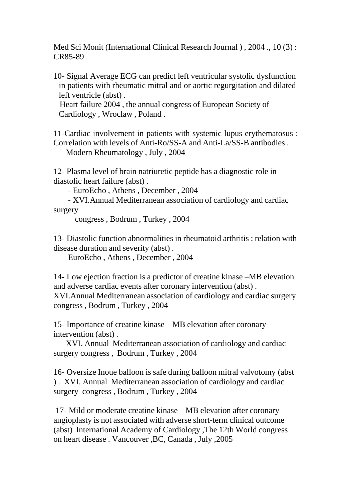Med Sci Monit (International Clinical Research Journal ) , 2004 ., 10 (3) : CR85-89

10- Signal Average ECG can predict left ventricular systolic dysfunction in patients with rheumatic mitral and or aortic regurgitation and dilated left ventricle (abst) .

Heart failure 2004 , the annual congress of European Society of Cardiology , Wroclaw , Poland .

11-Cardiac involvement in patients with systemic lupus erythematosus : Correlation with levels of Anti-Ro/SS-A and Anti-La/SS-B antibodies .

Modern Rheumatology , July , 2004

12- Plasma level of brain natriuretic peptide has a diagnostic role in diastolic heart failure (abst) .

- EuroEcho , Athens , December , 2004

- XVI.Annual Mediterranean association of cardiology and cardiac surgery

congress , Bodrum , Turkey , 2004

13- Diastolic function abnormalities in rheumatoid arthritis : relation with disease duration and severity (abst) .

EuroEcho , Athens , December , 2004

14- Low ejection fraction is a predictor of creatine kinase –MB elevation and adverse cardiac events after coronary intervention (abst) . XVI.Annual Mediterranean association of cardiology and cardiac surgery congress , Bodrum , Turkey , 2004

15- Importance of creatine kinase – MB elevation after coronary intervention (abst) .

XVI. Annual Mediterranean association of cardiology and cardiac surgery congress , Bodrum , Turkey , 2004

16- Oversize Inoue balloon is safe during balloon mitral valvotomy (abst ) . XVI. Annual Mediterranean association of cardiology and cardiac surgery congress , Bodrum , Turkey , 2004

17- Mild or moderate creatine kinase – MB elevation after coronary angioplasty is not associated with adverse short-term clinical outcome (abst) International Academy of Cardiology ,The 12th World congress on heart disease . Vancouver ,BC, Canada , July ,2005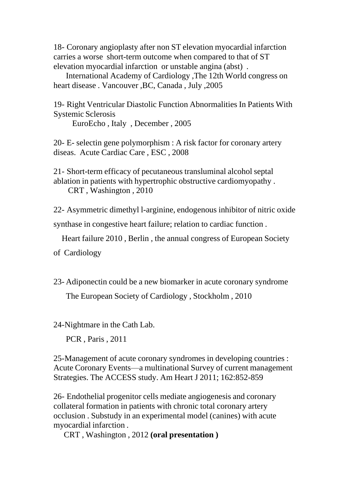18- Coronary angioplasty after non ST elevation myocardial infarction carries a worse short-term outcome when compared to that of ST elevation myocardial infarction or unstable angina (abst) .

International Academy of Cardiology ,The 12th World congress on heart disease . Vancouver ,BC, Canada , July ,2005

19- Right Ventricular Diastolic Function Abnormalities In Patients With Systemic Sclerosis

EuroEcho , Italy , December , 2005

20- E- selectin gene polymorphism : A risk factor for coronary artery diseas. Acute Cardiac Care , ESC , 2008

21- Short-term efficacy of pecutaneous transluminal alcohol septal ablation in patients with hypertrophic obstructive cardiomyopathy . CRT , Washington , 2010

22- Asymmetric dimethyl l-arginine, endogenous inhibitor of nitric oxide

synthase in congestive heart failure; relation to cardiac function .

Heart failure 2010 , Berlin , the annual congress of European Society

of Cardiology

23- Adiponectin could be a new biomarker in acute coronary syndrome

The European Society of Cardiology , Stockholm , 2010

24-Nightmare in the Cath Lab.

PCR , Paris , 2011

25-Management of acute coronary syndromes in developing countries : Acute Coronary Events—a multinational Survey of current management Strategies. The ACCESS study. Am Heart J 2011; 162:852-859

26- Endothelial progenitor cells mediate angiogenesis and coronary collateral formation in patients with chronic total coronary artery occlusion . Substudy in an experimental model (canines) with acute myocardial infarction .

CRT , Washington , 2012 **(oral presentation )**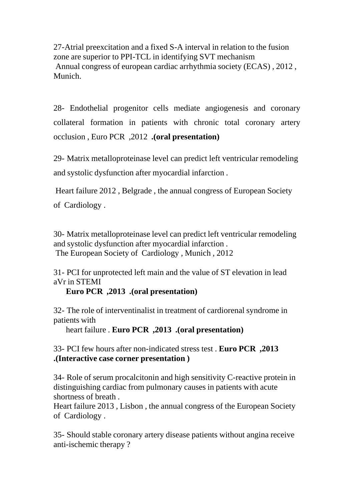27-Atrial preexcitation and a fixed S-A interval in relation to the fusion zone are superior to PPI-TCL in identifying SVT mechanism Annual congress of european cardiac arrhythmia society (ECAS) , 2012 , Munich.

28- Endothelial progenitor cells mediate angiogenesis and coronary collateral formation in patients with chronic total coronary artery occlusion , Euro PCR ,2012 **.(oral presentation)**

29- Matrix metalloproteinase level can predict left ventricular remodeling and systolic dysfunction after myocardial infarction .

Heart failure 2012 , Belgrade , the annual congress of European Society of Cardiology .

30- Matrix metalloproteinase level can predict left ventricular remodeling and systolic dysfunction after myocardial infarction . The European Society of Cardiology , Munich , 2012

31- PCI for unprotected left main and the value of ST elevation in lead aVr in STEMI

**Euro PCR ,2013 .(oral presentation)**

32- The role of interventinalist in treatment of cardiorenal syndrome in patients with

heart failure . **Euro PCR ,2013 .(oral presentation)**

33- PCI few hours after non-indicated stress test . **Euro PCR ,2013 .(Interactive case corner presentation )**

34- Role of serum procalcitonin and high sensitivity C-reactive protein in distinguishing cardiac from pulmonary causes in patients with acute shortness of breath .

Heart failure 2013 , Lisbon , the annual congress of the European Society of Cardiology .

35- Should stable coronary artery disease patients without angina receive anti-ischemic therapy ?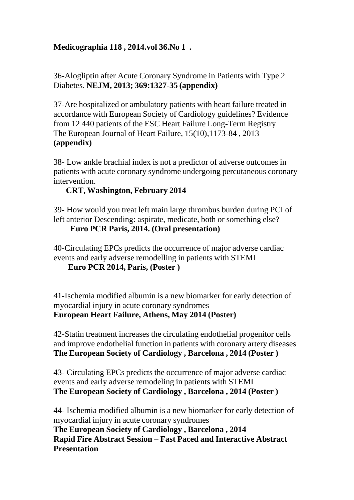# **Medicographia 118 , 2014.vol 36.No 1 .**

36-Alogliptin after Acute Coronary Syndrome in Patients with Type 2 Diabetes. **NEJM, 2013; 369:1327-35 (appendix)**

37-Are hospitalized or ambulatory patients with heart failure treated in accordance with European Society of Cardiology guidelines? Evidence from 12 440 patients of the ESC Heart Failure Long-Term Registry The European Journal of Heart Failure, 15(10),1173-84 , 2013 **(appendix)**

38- Low ankle brachial index is not a predictor of adverse outcomes in patients with acute coronary syndrome undergoing percutaneous coronary intervention.

#### **CRT, Washington, February 2014**

39- How would you treat left main large thrombus burden during PCI of left anterior Descending: aspirate, medicate, both or something else?

**Euro PCR Paris, 2014. (Oral presentation)**

40-Circulating EPCs predicts the occurrence of major adverse cardiac events and early adverse remodelling in patients with STEMI

#### **Euro PCR 2014, Paris, (Poster )**

41-Ischemia modified albumin is a new biomarker for early detection of myocardial injury in acute coronary syndromes **European Heart Failure, Athens, May 2014 (Poster)**

42-Statin treatment increases the circulating endothelial progenitor cells and improve endothelial function in patients with coronary artery diseases **The European Society of Cardiology , Barcelona , 2014 (Poster )**

43- Circulating EPCs predicts the occurrence of major adverse cardiac events and early adverse remodeling in patients with STEMI **The European Society of Cardiology , Barcelona , 2014 (Poster )**

44- Ischemia modified albumin is a new biomarker for early detection of myocardial injury in acute coronary syndromes

**The European Society of Cardiology , Barcelona , 2014 Rapid Fire Abstract Session – Fast Paced and Interactive Abstract Presentation**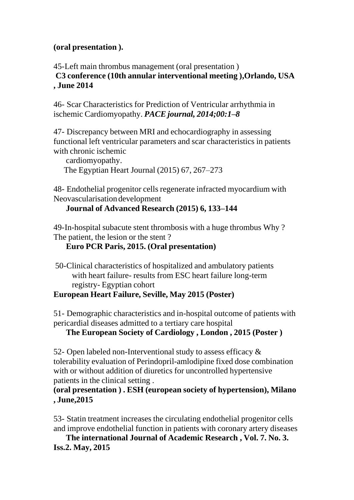## **(oral presentation ).**

45-Left main thrombus management (oral presentation ) **C3 conference (10th annular interventional meeting ),Orlando, USA , June 2014**

46- Scar Characteristics for Prediction of Ventricular arrhythmia in ischemic Cardiomyopathy. *PACE journal, 2014;00:1–8*

47- Discrepancy between MRI and echocardiography in assessing functional left ventricular parameters and scar characteristics in patients with chronic ischemic

cardiomyopathy. The Egyptian Heart Journal (2015) 67, 267–273

48- Endothelial progenitor cells regenerate infracted myocardium with Neovascularisation development

**Journal of Advanced Research (2015) 6, 133–144**

49-In-hospital subacute stent thrombosis with a huge thrombus Why ? The patient, the lesion or the stent ?

# **Euro PCR Paris, 2015. (Oral presentation)**

50-Clinical characteristics of hospitalized and ambulatory patients with heart failure- results from ESC heart failure long-term registry- Egyptian cohort

# **European Heart Failure, Seville, May 2015 (Poster)**

51- Demographic characteristics and in-hospital outcome of patients with pericardial diseases admitted to a tertiary care hospital

**The European Society of Cardiology , London , 2015 (Poster )**

52- Open labeled non-Interventional study to assess efficacy & tolerability evaluation of Perindopril-amlodipine fixed dose combination with or without addition of diuretics for uncontrolled hypertensive patients in the clinical setting .

## **(oral presentation ) . ESH (european society of hypertension), Milano , June,2015**

53- Statin treatment increases the circulating endothelial progenitor cells and improve endothelial function in patients with coronary artery diseases

**The international Journal of Academic Research , Vol. 7. No. 3. Iss.2. May, 2015**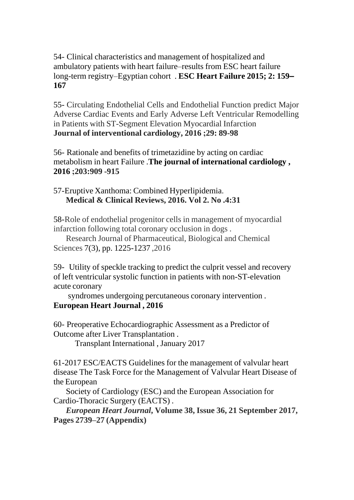## 54- Clinical characteristics and management of hospitalized and ambulatory patients with heart failure–results from ESC heart failure long-term registry–Egyptian cohort . **ESC Heart Failure 2015; 2: 159– 167**

55- Circulating Endothelial Cells and Endothelial Function predict Major Adverse Cardiac Events and Early Adverse Left Ventricular Remodelling in Patients with ST-Segment Elevation Myocardial Infarction **Journal of interventional cardiology, 2016 ;29: 89-98**

56- Rationale and benefits of trimetazidine by acting on cardiac metabolism in heart Failure .**The journal of international cardiology , 2016 ;203:909 -915**

57-Eruptive Xanthoma: Combined Hyperlipidemia. **Medical & Clinical Reviews, 2016. Vol 2. No .4:31**

58-Role of endothelial progenitor cells in management of myocardial infarction following total coronary occlusion in dogs .

Research Journal of Pharmaceutical, Biological and Chemical Sciences 7(3), pp. 1225-1237 ,2016

59- Utility of speckle tracking to predict the culprit vessel and recovery of left ventricular systolic function in patients with non-ST-elevation acute coronary

syndromes undergoing percutaneous coronary intervention . **European Heart Journal , 2016**

60- Preoperative Echocardiographic Assessment as a Predictor of Outcome after Liver Transplantation .

Transplant International , January 2017

61-2017 ESC/EACTS Guidelines for the management of valvular heart disease The Task Force for the Management of Valvular Heart Disease of the European

Society of Cardiology (ESC) and the European Association for Cardio-Thoracic Surgery (EACTS) .

*European Heart Journal***, Volume 38, Issue 36, 21 September 2017, Pages 2739–27 (Appendix)**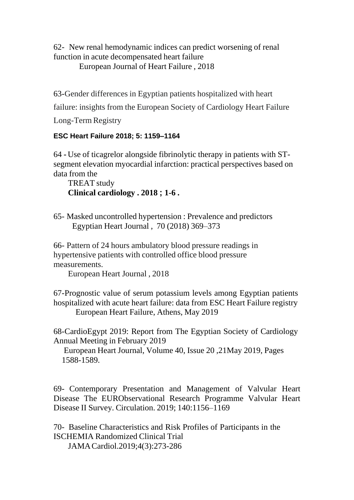62- New renal hemodynamic indices can predict worsening of renal function in acute decompensated heart failure

European Journal of Heart Failure , 2018

63-Gender differences in Egyptian patients hospitalized with heart

failure: insights from the European Society of Cardiology Heart Failure

Long-Term Registry

## **ESC Heart Failure 2018; 5: 1159–1164**

64 **-** Use of ticagrelor alongside fibrinolytic therapy in patients with STsegment elevation myocardial infarction: practical perspectives based on data from the

TREAT study **Clinical cardiology . 2018 ; 1-6 .**

65- Masked uncontrolled hypertension : Prevalence and predictors Egyptian Heart Journal , 70 (2018) 369–373

66- Pattern of 24 hours ambulatory blood pressure readings in hypertensive patients with controlled office blood pressure measurements.

European Heart Journal , 2018

67-Prognostic value of serum potassium levels among Egyptian patients hospitalized with acute heart failure: data from ESC Heart Failure registry European Heart Failure, Athens, May 2019

68-CardioEgypt 2019: Report from The Egyptian Society of Cardiology Annual Meeting in February 2019

European Heart Journal, Volume 40, Issue 20 ,21May 2019, Pages 1588-1589.

69- Contemporary Presentation and Management of Valvular Heart Disease The EURObservational Research Programme Valvular Heart Disease II Survey. Circulation. 2019; 140:1156–1169

70- Baseline Characteristics and Risk Profiles of Participants in the ISCHEMIA Randomized Clinical Trial JAMACardiol.2019;4(3):273-286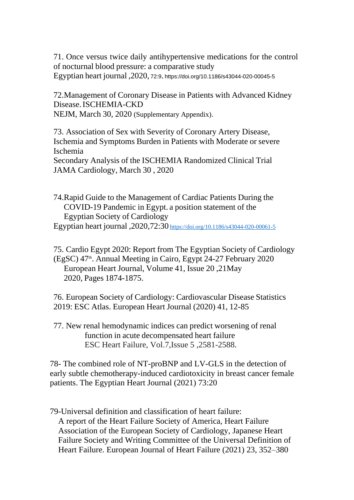71. Once versus twice daily antihypertensive medications for the control of nocturnal blood pressure: a comparative study Egyptian heart journal ,2020, 72:9. https://doi.org/10.1186/s43044-020-00045-5

72.Management of Coronary Disease in Patients with Advanced Kidney Disease.ISCHEMIA-CKD NEJM, March 30, 2020 (Supplementary Appendix).

73. Association of Sex with Severity of Coronary Artery Disease, Ischemia and Symptoms Burden in Patients with Moderate or severe Ischemia Secondary Analysis of the ISCHEMIA Randomized Clinical Trial JAMA Cardiology, March 30 , 2020

74.Rapid Guide to the Management of Cardiac Patients During the COVID-19 Pandemic in Egypt. a position statement of the Egyptian Society of Cardiology Egyptian heart journal ,2020,72:30 <https://doi.org/10.1186/s43044-020-00061-5>

75. Cardio Egypt 2020: Report from The Egyptian Society of Cardiology (EgSC) 47<sup>th</sup>. Annual Meeting in Cairo, Egypt 24-27 February 2020 European Heart Journal, Volume 41, Issue 20 ,21May 2020, Pages 1874-1875.

76. European Society of Cardiology: Cardiovascular Disease Statistics 2019: ESC Atlas. European Heart Journal (2020) 41, 12-85

77. New renal hemodynamic indices can predict worsening of renal function in acute decompensated heart failure ESC Heart Failure, Vol.7,Issue 5 ,2581-2588.

78- The combined role of NT-proBNP and LV-GLS in the detection of early subtle chemotherapy-induced cardiotoxicity in breast cancer female patients. The Egyptian Heart Journal (2021) 73:20

79-Universal definition and classification of heart failure: A report of the Heart Failure Society of America, Heart Failure Association of the European Society of Cardiology, Japanese Heart Failure Society and Writing Committee of the Universal Definition of Heart Failure. European Journal of Heart Failure (2021) 23, 352–380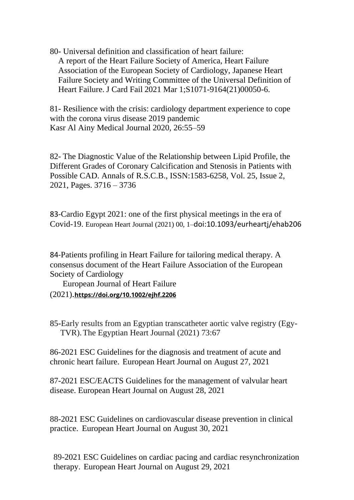80- Universal definition and classification of heart failure: A report of the Heart Failure Society of America, Heart Failure Association of the European Society of Cardiology, Japanese Heart Failure Society and Writing Committee of the Universal Definition of Heart Failure. J Card Fail 2021 Mar 1;S1071-9164(21)00050-6.

81- Resilience with the crisis: cardiology department experience to cope with the corona virus disease 2019 pandemic Kasr Al Ainy Medical Journal 2020, 26:55–59

82- The Diagnostic Value of the Relationship between Lipid Profile, the Different Grades of Coronary Calcification and Stenosis in Patients with Possible CAD. Annals of R.S.C.B., ISSN:1583-6258, Vol. 25, Issue 2, 2021, Pages. 3716 – 3736

83-Cardio Egypt 2021: one of the first physical meetings in the era of Covid-19. European Heart Journal (2021) 00, 1–doi:10.1093/eurheartj/ehab206

84-Patients profiling in Heart Failure for tailoring medical therapy. A consensus document of the Heart Failure Association of the European Society of Cardiology

 European Journal of Heart Failure (2021).**<https://doi.org/10.1002/ejhf.2206>**

85-Early results from an Egyptian transcatheter aortic valve registry (Egy- TVR).The Egyptian Heart Journal (2021) 73:67

86-2021 ESC Guidelines for the diagnosis and treatment of acute and chronic heart failure. [European](https://publons.com/journal/719/) Heart Journal on [August](http://dx.doi.org/10.1093/eurheartj/ehab368) 27, 2021

87-2021 ESC/EACTS Guidelines for the management of valvular heart disease. [European](https://publons.com/journal/719/) Heart Journal on [August](http://dx.doi.org/10.1093/eurheartj/ehab395) 28, 2021

88-2021 ESC Guidelines on cardiovascular disease prevention in clinical practice. [European](https://publons.com/journal/719/) Heart Journal on [August](http://dx.doi.org/10.1093/eurheartj/ehab484) 30, 2021

89-2021 ESC Guidelines on cardiac pacing and cardiac resynchronization therapy. [European](https://publons.com/journal/719/) Heart Journal on [August](http://dx.doi.org/10.1093/eurheartj/ehab364) 29, 2021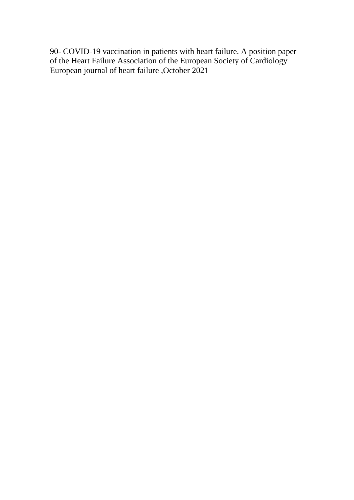90**-** COVID-19 vaccination in patients with heart failure. A position paper of the Heart Failure Association of the European Society of Cardiology European journal of heart failure ,October 2021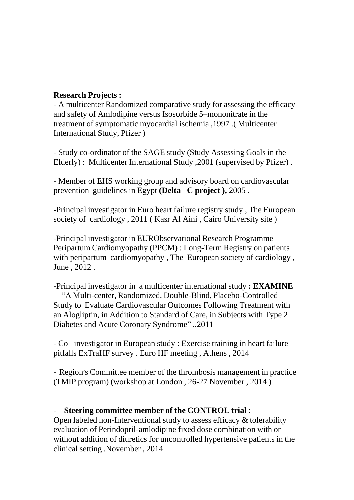#### **Research Projects :**

- A multicenter Randomized comparative study for assessing the efficacy and safety of Amlodipine versus Isosorbide 5–mononitrate in the treatment of symptomatic myocardial ischemia ,1997 .( Multicenter International Study, Pfizer )

- Study co-ordinator of the SAGE study (Study Assessing Goals in the Elderly) : Multicenter International Study ,2001 (supervised by Pfizer) .

- Member of EHS working group and advisory board on cardiovascular prevention guidelines in Egypt **(Delta –C project ),** 2005 **.**

-Principal investigator in Euro heart failure registry study , The European society of cardiology , 2011 ( Kasr Al Aini , Cairo University site )

-Principal investigator in EURObservational Research Programme – Peripartum Cardiomyopathy (PPCM) : Long-Term Registry on patients with peripartum cardiomyopathy , The European society of cardiology , June , 2012 .

-Principal investigator in a multicenter international study **: EXAMINE**

"A Multi-center, Randomized, Double-Blind, Placebo-Controlled Study to Evaluate Cardiovascular Outcomes Following Treatment with an Alogliptin, in Addition to Standard of Care, in Subjects with Type 2 Diabetes and Acute Coronary Syndrome" .,2011

- Co –investigator in European study : Exercise training in heart failure pitfalls ExTraHF survey . Euro HF meeting , Athens , 2014

- Region׳s Committee member of the thrombosis management in practice (TMIP program) (workshop at London , 26-27 November , 2014 )

### - **Steering committee member of the CONTROL trial** :

Open labeled non-Interventional study to assess efficacy & tolerability evaluation of Perindopril-amlodipine fixed dose combination with or without addition of diuretics for uncontrolled hypertensive patients in the clinical setting .November , 2014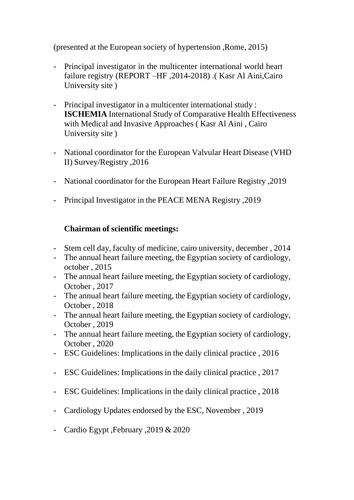(presented at the European society of hypertension ,Rome, 2015)

- Principal investigator in the multicenter international world heart failure registry (REPORT –HF ,2014-2018) .( Kasr Al Aini,Cairo University site )
- Principal investigator in a multicenter international study : **ISCHEMIA** International Study of Comparative Health Effectiveness with Medical and Invasive Approaches ( Kasr Al Aini , Cairo University site )
- National coordinator for the European Valvular Heart Disease (VHD II) Survey/Registry ,2016
- National coordinator for the European Heart Failure Registry ,2019
- Principal Investigator in the PEACE MENA Registry ,2019

# **Chairman of scientific meetings:**

- Stem cell day, faculty of medicine, cairo university, december , 2014
- The annual heart failure meeting, the Egyptian society of cardiology, october , 2015
- The annual heart failure meeting, the Egyptian society of cardiology, October , 2017
- The annual heart failure meeting, the Egyptian society of cardiology, October , 2018
- The annual heart failure meeting, the Egyptian society of cardiology, October , 2019
- The annual heart failure meeting, the Egyptian society of cardiology, October , 2020
- ESC Guidelines: Implications in the daily clinical practice , 2016
- ESC Guidelines: Implications in the daily clinical practice , 2017
- ESC Guidelines: Implications in the daily clinical practice , 2018
- Cardiology Updates endorsed by the ESC, November , 2019
- Cardio Egypt ,February ,2019 & 2020